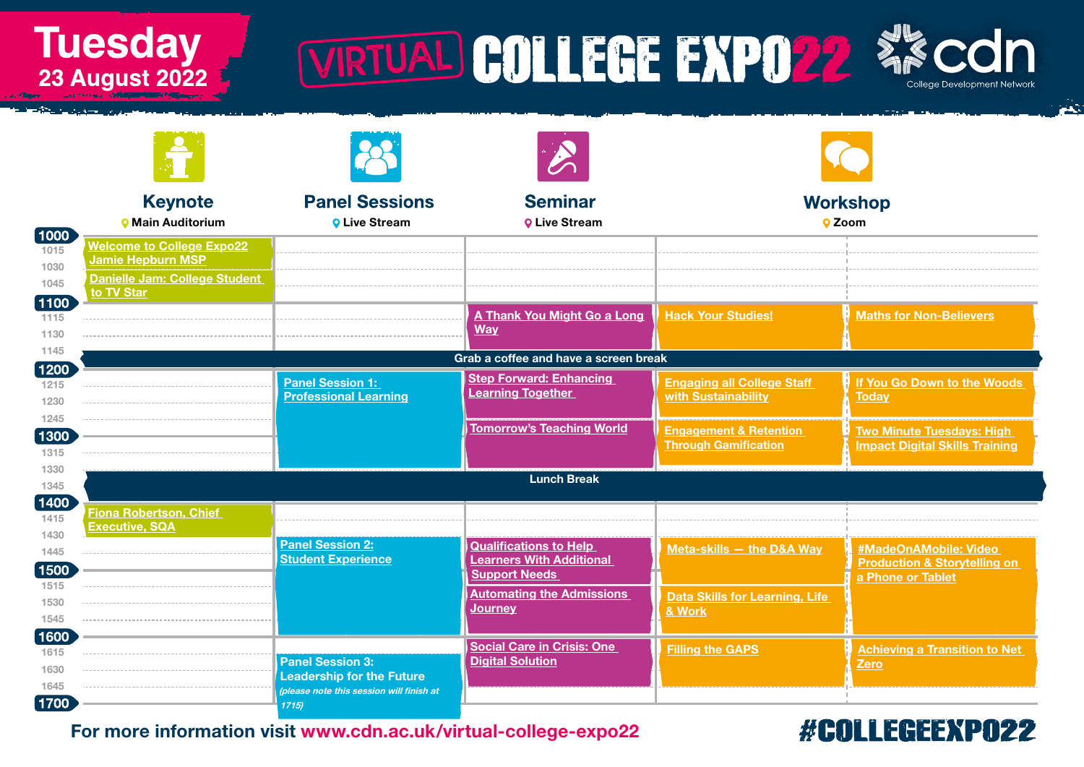Tuesday<br>23 August 2022

# WRTUAL COLLEGE EXPOSE XX CON



ц.

|                        | <b>Keynote</b>                        | <b>Panel Sessions</b>                                                        | <b>Seminar</b>                                          | <b>Workshop</b>                                                  |                                                              |  |  |  |
|------------------------|---------------------------------------|------------------------------------------------------------------------------|---------------------------------------------------------|------------------------------------------------------------------|--------------------------------------------------------------|--|--|--|
|                        | <b>O</b> Main Auditorium              | <b>O</b> Live Stream                                                         | <b>Q Live Stream</b>                                    | <b>Q</b> Zoom                                                    |                                                              |  |  |  |
| $\boxed{1000}$<br>1015 | <b>Welcome to College Expo22</b>      |                                                                              |                                                         |                                                                  |                                                              |  |  |  |
| 1030                   | <b>Jamie Hepburn MSP</b>              |                                                                              |                                                         |                                                                  |                                                              |  |  |  |
| 1045                   | Danielle Jam: College Student         |                                                                              |                                                         |                                                                  |                                                              |  |  |  |
| $\boxed{1100}$         | to TV Star                            |                                                                              |                                                         |                                                                  |                                                              |  |  |  |
| 1115                   |                                       |                                                                              | A Thank You Might Go a Long<br><b>Way</b>               | <b>Hack Your Studies!</b>                                        | <b>Maths for Non-Believers</b>                               |  |  |  |
| 1130                   |                                       |                                                                              |                                                         |                                                                  |                                                              |  |  |  |
| 1145                   | Grab a coffee and have a screen break |                                                                              |                                                         |                                                                  |                                                              |  |  |  |
| $\boxed{1200}$<br>1215 |                                       | <b>Panel Session 1:</b>                                                      | <b>Step Forward: Enhancing</b>                          | <b>Engaging all College Staff</b>                                | If You Go Down to the Woods                                  |  |  |  |
| 1230                   |                                       | <b>Professional Learning</b>                                                 | <b>Learning Together</b>                                | with Sustainability                                              | <b>Today</b>                                                 |  |  |  |
| 1245                   |                                       |                                                                              |                                                         |                                                                  |                                                              |  |  |  |
| 1300                   |                                       |                                                                              | <b>Tomorrow's Teaching World</b>                        | <b>Engagement &amp; Retention</b><br><b>Through Gamification</b> | <b>Two Minute Tuesdays: High</b>                             |  |  |  |
| 1315                   |                                       |                                                                              |                                                         |                                                                  | <b>Impact Digital Skills Training</b>                        |  |  |  |
| 1330                   |                                       |                                                                              | <b>Lunch Break</b>                                      |                                                                  |                                                              |  |  |  |
| 1345                   |                                       |                                                                              |                                                         |                                                                  |                                                              |  |  |  |
| 1400<br>1415           | Fiona Robertson, Chief                |                                                                              |                                                         |                                                                  |                                                              |  |  |  |
| 1430                   | <b>Executive, SQA</b>                 |                                                                              |                                                         |                                                                  |                                                              |  |  |  |
| 1445                   |                                       | <b>Panel Session 2:</b><br><b>Student Experience</b>                         | <b>Qualifications to Help</b>                           | Meta-skills - the D&A Way                                        | #MadeOnAMobile: Video                                        |  |  |  |
| 1500                   |                                       |                                                                              | <b>Learners With Additional</b><br><b>Support Needs</b> |                                                                  | <b>Production &amp; Storytelling on</b><br>a Phone or Tablet |  |  |  |
| 1515                   |                                       |                                                                              | <b>Automating the Admissions</b>                        | <b>Data Skills for Learning, Life</b>                            |                                                              |  |  |  |
| 1530                   |                                       |                                                                              | <b>Journey</b>                                          | & Work                                                           |                                                              |  |  |  |
| 1545                   |                                       |                                                                              |                                                         |                                                                  |                                                              |  |  |  |
| 1600<br>1615           |                                       |                                                                              | <b>Social Care in Crisis: One</b>                       | <b>Filling the GAPS</b>                                          | <b>Achieving a Transition to Net</b>                         |  |  |  |
| 1630                   |                                       | <b>Panel Session 3:</b>                                                      | <b>Digital Solution</b>                                 |                                                                  | Zero                                                         |  |  |  |
| 1645                   |                                       | <b>Leadership for the Future</b><br>(please note this session will finish at |                                                         |                                                                  |                                                              |  |  |  |
| $\vert$ 1700 $\vert$   |                                       | 1715                                                                         |                                                         |                                                                  |                                                              |  |  |  |

### For more information visit [www.cdn.ac.uk/virtual-college-expo22](http://www.cdn.ac.uk/virtual-college-expo22)

### #COLLEGEEXPO22